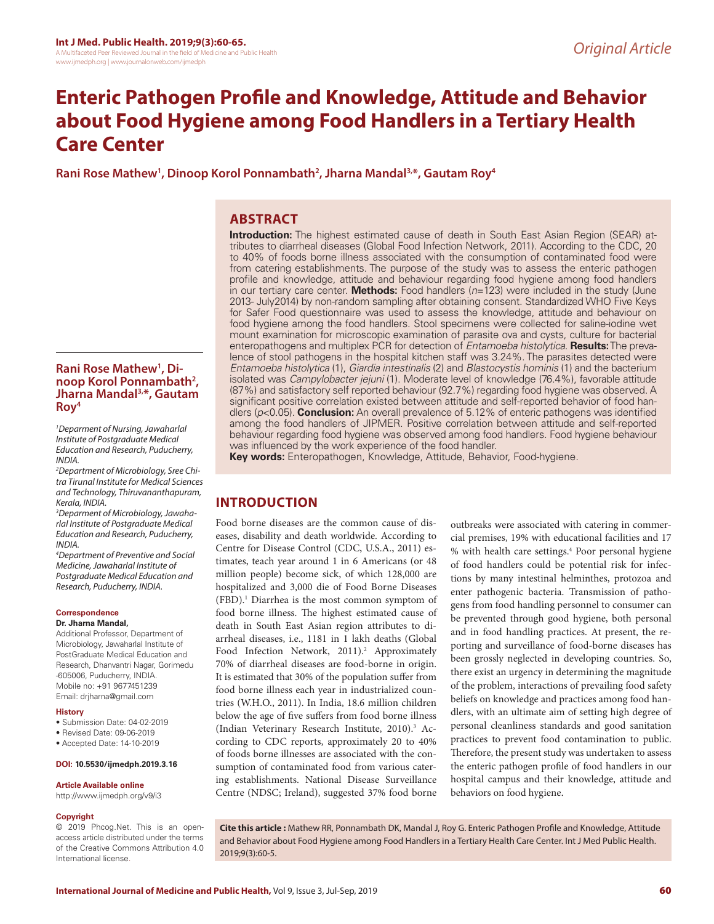# **Enteric Pathogen Profile and Knowledge, Attitude and Behavior about Food Hygiene among Food Handlers in a Tertiary Health Care Center**

Rani Rose Mathew<sup>1</sup>, Dinoop Korol Ponnambath<sup>2</sup>, Jharna Mandal<sup>3,\*</sup>, Gautam Roy<sup>4</sup>

# **ABSTRACT**

**Introduction:** The highest estimated cause of death in South East Asian Region (SEAR) attributes to diarrheal diseases (Global Food Infection Network, 2011). According to the CDC, 20 to 40% of foods borne illness associated with the consumption of contaminated food were from catering establishments. The purpose of the study was to assess the enteric pathogen profile and knowledge, attitude and behaviour regarding food hygiene among food handlers in our tertiary care center. **Methods:** Food handlers (*n*=123) were included in the study (June 2013- July2014) by non-random sampling after obtaining consent. Standardized WHO Five Keys for Safer Food questionnaire was used to assess the knowledge, attitude and behaviour on food hygiene among the food handlers. Stool specimens were collected for saline-iodine wet mount examination for microscopic examination of parasite ova and cysts, culture for bacterial enteropathogens and multiplex PCR for detection of *Entamoeba histolytica*. **Results:** The prevalence of stool pathogens in the hospital kitchen staff was 3.24%. The parasites detected were *Entamoeba histolytica* (1), *Giardia intestinalis* (2) and *Blastocystis hominis* (1) and the bacterium isolated was *Campylobacter jejuni* (1). Moderate level of knowledge (76.4%), favorable attitude (87%) and satisfactory self reported behaviour (92.7%) regarding food hygiene was observed. A significant positive correlation existed between attitude and self-reported behavior of food handlers (*p*<0.05). **Conclusion:** An overall prevalence of 5.12% of enteric pathogens was identified among the food handlers of JIPMER. Positive correlation between attitude and self-reported behaviour regarding food hygiene was observed among food handlers. Food hygiene behaviour was influenced by the work experience of the food handler.

**Key words:** Enteropathogen, Knowledge, Attitude, Behavior, Food-hygiene.

# **INTRODUCTION**

Food borne diseases are the common cause of diseases, disability and death worldwide. According to Centre for Disease Control (CDC, U.S.A., 2011) estimates, teach year around 1 in 6 Americans (or 48 million people) become sick, of which 128,000 are hospitalized and 3,000 die of Food Borne Diseases (FBD).1 Diarrhea is the most common symptom of food borne illness. The highest estimated cause of death in South East Asian region attributes to diarrheal diseases, i.e., 1181 in 1 lakh deaths (Global Food Infection Network, 2011).<sup>2</sup> Approximately 70% of diarrheal diseases are food-borne in origin. It is estimated that 30% of the population suffer from food borne illness each year in industrialized countries (W.H.O., 2011). In India, 18.6 million children below the age of five suffers from food borne illness (Indian Veterinary Research Institute, 2010).<sup>3</sup> According to CDC reports, approximately 20 to 40% of foods borne illnesses are associated with the consumption of contaminated food from various catering establishments. National Disease Surveillance Centre (NDSC; Ireland), suggested 37% food borne

outbreaks were associated with catering in commercial premises, 19% with educational facilities and 17 % with health care settings.4 Poor personal hygiene of food handlers could be potential risk for infections by many intestinal helminthes, protozoa and enter pathogenic bacteria. Transmission of pathogens from food handling personnel to consumer can be prevented through good hygiene, both personal and in food handling practices. At present, the reporting and surveillance of food-borne diseases has been grossly neglected in developing countries. So, there exist an urgency in determining the magnitude of the problem, interactions of prevailing food safety beliefs on knowledge and practices among food handlers, with an ultimate aim of setting high degree of personal cleanliness standards and good sanitation practices to prevent food contamination to public. Therefore, the present study was undertaken to assess the enteric pathogen profile of food handlers in our hospital campus and their knowledge, attitude and behaviors on food hygiene.

**Cite this article :** Mathew RR, Ponnambath DK, Mandal J, Roy G. Enteric Pathogen Profile and Knowledge, Attitude and Behavior about Food Hygiene among Food Handlers in a Tertiary Health Care Center. Int J Med Public Health. 2019;9(3):60-5.

## **Rani Rose Mathew<sup>1</sup>, Di-, Di- noop Korol Ponnambath2 , Jharna Mandal3,\*, Gautam Roy4**

*1 Deparment of Nursing, Jawaharlal Institute of Postgraduate Medical Education and Research, Puducherry, INDIA.*

*2 Department of Microbiology, Sree Chitra Tirunal Institute for Medical Sciences and Technology, Thiruvananthapuram, Kerala, INDIA.*

*3 Deparment of Microbiology, Jawaharlal Institute of Postgraduate Medical Education and Research, Puducherry, INDIA.*

*4 Department of Preventive and Social Medicine, Jawaharlal Institute of Postgraduate Medical Education and Research, Puducherry, INDIA.*

#### **Correspondence**

#### **Dr. Jharna Mandal,**

Additional Professor, Department of Microbiology, Jawaharlal Institute of PostGraduate Medical Education and Research, Dhanvantri Nagar, Gorimedu -605006, Puducherry, INDIA. Mobile no: +91 9677451239 Email: drjharna@gmail.com

#### **History**

- Submission Date: 04-02-2019
- Revised Date: 09-06-2019
- Accepted Date: 14-10-2019

## **DOI: 10.5530/ijmedph.2019.3.16**

#### **Article Available online**

http://www.ijmedph.org/v9/i3

#### **Copyright**

© 2019 Phcog.Net. This is an openaccess article distributed under the terms of the Creative Commons Attribution 4.0 International license.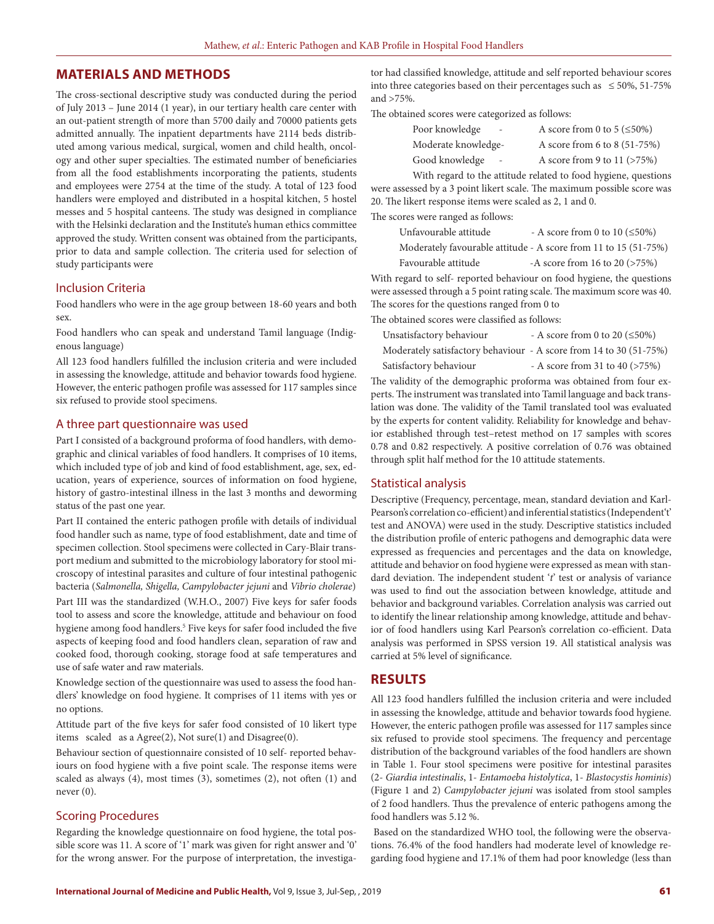## **MATERIALS AND METHODS**

The cross-sectional descriptive study was conducted during the period of July 2013 – June 2014 (1 year), in our tertiary health care center with an out-patient strength of more than 5700 daily and 70000 patients gets admitted annually. The inpatient departments have 2114 beds distributed among various medical, surgical, women and child health, oncology and other super specialties. The estimated number of beneficiaries from all the food establishments incorporating the patients, students and employees were 2754 at the time of the study. A total of 123 food handlers were employed and distributed in a hospital kitchen, 5 hostel messes and 5 hospital canteens. The study was designed in compliance with the Helsinki declaration and the Institute's human ethics committee approved the study. Written consent was obtained from the participants, prior to data and sample collection. The criteria used for selection of study participants were

#### Inclusion Criteria

Food handlers who were in the age group between 18-60 years and both sex.

Food handlers who can speak and understand Tamil language (Indigenous language)

All 123 food handlers fulfilled the inclusion criteria and were included in assessing the knowledge, attitude and behavior towards food hygiene. However, the enteric pathogen profile was assessed for 117 samples since six refused to provide stool specimens.

#### A three part questionnaire was used

Part I consisted of a background proforma of food handlers, with demographic and clinical variables of food handlers. It comprises of 10 items, which included type of job and kind of food establishment, age, sex, education, years of experience, sources of information on food hygiene, history of gastro-intestinal illness in the last 3 months and deworming status of the past one year.

Part II contained the enteric pathogen profile with details of individual food handler such as name, type of food establishment, date and time of specimen collection. Stool specimens were collected in Cary-Blair transport medium and submitted to the microbiology laboratory for stool microscopy of intestinal parasites and culture of four intestinal pathogenic bacteria (*Salmonella, Shigella, Campylobacter jejuni* and *Vibrio cholerae*)

Part III was the standardized (W.H.O., 2007) Five keys for safer foods tool to assess and score the knowledge, attitude and behaviour on food hygiene among food handlers.5 Five keys for safer food included the five aspects of keeping food and food handlers clean, separation of raw and cooked food, thorough cooking, storage food at safe temperatures and use of safe water and raw materials.

Knowledge section of the questionnaire was used to assess the food handlers' knowledge on food hygiene. It comprises of 11 items with yes or no options.

Attitude part of the five keys for safer food consisted of 10 likert type items scaled as a Agree(2), Not sure(1) and Disagree(0).

Behaviour section of questionnaire consisted of 10 self- reported behaviours on food hygiene with a five point scale. The response items were scaled as always (4), most times (3), sometimes (2), not often (1) and never (0).

### Scoring Procedures

Regarding the knowledge questionnaire on food hygiene, the total possible score was 11. A score of '1' mark was given for right answer and '0' for the wrong answer. For the purpose of interpretation, the investigator had classified knowledge, attitude and self reported behaviour scores into three categories based on their percentages such as  $\leq 50\%$ , 51-75% and >75%.

The obtained scores were categorized as follows:

| Poor knowledge<br>$\sim$ | A score from 0 to 5 ( $\leq$ 50%) |
|--------------------------|-----------------------------------|
| Moderate knowledge-      | A score from 6 to 8 (51-75%)      |
| Good knowledge           | A score from 9 to 11 $($ >75%)    |

With regard to the attitude related to food hygiene, questions were assessed by a 3 point likert scale. The maximum possible score was 20. The likert response items were scaled as 2, 1 and 0.

The scores were ranged as follows:

| Unfavourable attitude | - A score from 0 to 10 $(\leq 50\%)$                            |
|-----------------------|-----------------------------------------------------------------|
|                       | Moderately favourable attitude - A score from 11 to 15 (51-75%) |
| Favourable attitude   | -A score from 16 to 20 $($ >75%)                                |

With regard to self- reported behaviour on food hygiene, the questions were assessed through a 5 point rating scale. The maximum score was 40. The scores for the questions ranged from 0 to

The obtained scores were classified as follows:

| Unsatisfactory behaviour                                           | - A score from 0 to 20 ( $\leq$ 50%) |
|--------------------------------------------------------------------|--------------------------------------|
| Moderately satisfactory behaviour - A score from 14 to 30 (51-75%) |                                      |
| Satisfactory behaviour                                             | - A score from 31 to 40 $($ >75%)    |

The validity of the demographic proforma was obtained from four experts. The instrument was translated into Tamil language and back translation was done. The validity of the Tamil translated tool was evaluated by the experts for content validity. Reliability for knowledge and behavior established through test–retest method on 17 samples with scores 0.78 and 0.82 respectively. A positive correlation of 0.76 was obtained through split half method for the 10 attitude statements.

#### Statistical analysis

Descriptive (Frequency, percentage, mean, standard deviation and Karl-Pearson's correlation co-efficient) and inferential statistics (Independent't' test and ANOVA) were used in the study. Descriptive statistics included the distribution profile of enteric pathogens and demographic data were expressed as frequencies and percentages and the data on knowledge, attitude and behavior on food hygiene were expressed as mean with standard deviation. The independent student '*t*' test or analysis of variance was used to find out the association between knowledge, attitude and behavior and background variables. Correlation analysis was carried out to identify the linear relationship among knowledge, attitude and behavior of food handlers using Karl Pearson's correlation co-efficient. Data analysis was performed in SPSS version 19. All statistical analysis was carried at 5% level of significance.

## **RESULTS**

All 123 food handlers fulfilled the inclusion criteria and were included in assessing the knowledge, attitude and behavior towards food hygiene. However, the enteric pathogen profile was assessed for 117 samples since six refused to provide stool specimens. The frequency and percentage distribution of the background variables of the food handlers are shown in Table 1. Four stool specimens were positive for intestinal parasites (2- *Giardia intestinalis*, 1- *Entamoeba histolytica*, 1- *Blastocystis hominis*) (Figure 1 and 2) *Campylobacter jejuni* was isolated from stool samples of 2 food handlers. Thus the prevalence of enteric pathogens among the food handlers was 5.12 %.

 Based on the standardized WHO tool, the following were the observations. 76.4% of the food handlers had moderate level of knowledge regarding food hygiene and 17.1% of them had poor knowledge (less than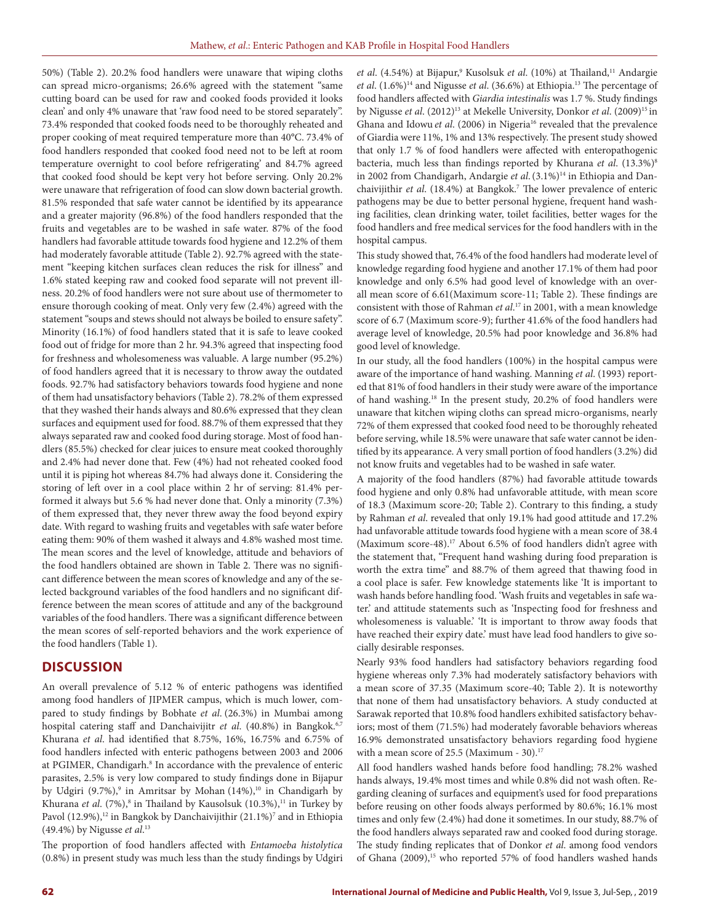50%) (Table 2). 20.2% food handlers were unaware that wiping cloths can spread micro-organisms; 26.6% agreed with the statement "same cutting board can be used for raw and cooked foods provided it looks clean' and only 4% unaware that 'raw food need to be stored separately". 73.4% responded that cooked foods need to be thoroughly reheated and proper cooking of meat required temperature more than 40°C. 73.4% of food handlers responded that cooked food need not to be left at room temperature overnight to cool before refrigerating' and 84.7% agreed that cooked food should be kept very hot before serving. Only 20.2% were unaware that refrigeration of food can slow down bacterial growth. 81.5% responded that safe water cannot be identified by its appearance and a greater majority (96.8%) of the food handlers responded that the fruits and vegetables are to be washed in safe water. 87% of the food handlers had favorable attitude towards food hygiene and 12.2% of them had moderately favorable attitude (Table 2). 92.7% agreed with the statement "keeping kitchen surfaces clean reduces the risk for illness" and 1.6% stated keeping raw and cooked food separate will not prevent illness. 20.2% of food handlers were not sure about use of thermometer to ensure thorough cooking of meat. Only very few (2.4%) agreed with the statement "soups and stews should not always be boiled to ensure safety". Minority (16.1%) of food handlers stated that it is safe to leave cooked food out of fridge for more than 2 hr. 94.3% agreed that inspecting food for freshness and wholesomeness was valuable. A large number (95.2%) of food handlers agreed that it is necessary to throw away the outdated foods. 92.7% had satisfactory behaviors towards food hygiene and none of them had unsatisfactory behaviors (Table 2). 78.2% of them expressed that they washed their hands always and 80.6% expressed that they clean surfaces and equipment used for food. 88.7% of them expressed that they always separated raw and cooked food during storage. Most of food handlers (85.5%) checked for clear juices to ensure meat cooked thoroughly and 2.4% had never done that. Few (4%) had not reheated cooked food until it is piping hot whereas 84.7% had always done it. Considering the storing of left over in a cool place within 2 hr of serving: 81.4% performed it always but 5.6 % had never done that. Only a minority (7.3%) of them expressed that, they never threw away the food beyond expiry date. With regard to washing fruits and vegetables with safe water before eating them: 90% of them washed it always and 4.8% washed most time. The mean scores and the level of knowledge, attitude and behaviors of the food handlers obtained are shown in Table 2. There was no significant difference between the mean scores of knowledge and any of the selected background variables of the food handlers and no significant difference between the mean scores of attitude and any of the background variables of the food handlers. There was a significant difference between the mean scores of self-reported behaviors and the work experience of the food handlers (Table 1).

## **DISCUSSION**

An overall prevalence of 5.12 % of enteric pathogens was identified among food handlers of JIPMER campus, which is much lower, compared to study findings by Bobhate *et al*. (26.3%) in Mumbai among hospital catering staff and Danchaivijitr et al. (40.8%) in Bangkok.<sup>6,7</sup> Khurana *et al*. had identified that 8.75%, 16%, 16.75% and 6.75% of food handlers infected with enteric pathogens between 2003 and 2006 at PGIMER, Chandigarh.<sup>8</sup> In accordance with the prevalence of enteric parasites, 2.5% is very low compared to study findings done in Bijapur by Udgiri (9.7%),<sup>9</sup> in Amritsar by Mohan (14%),<sup>10</sup> in Chandigarh by Khurana *et al*. (7%),<sup>8</sup> in Thailand by Kausolsuk (10.3%),<sup>11</sup> in Turkey by Pavol (12.9%),<sup>12</sup> in Bangkok by Danchaivijithir (21.1%)<sup>7</sup> and in Ethiopia (49.4%) by Nigusse *et al*. 13

The proportion of food handlers affected with *Entamoeba histolytica*  (0.8%) in present study was much less than the study findings by Udgiri et al. (4.54%) at Bijapur,<sup>9</sup> Kusolsuk et al. (10%) at Thailand,<sup>11</sup> Andargie *et al*. (1.6%)14 and Nigusse *et al*. (36.6%) at Ethiopia.13 The percentage of food handlers affected with *Giardia intestinalis* was 1.7 %. Study findings by Nigusse *et al.* (2012)<sup>13</sup> at Mekelle University, Donkor *et al.* (2009)<sup>15</sup> in Ghana and Idowu et al. (2006) in Nigeria<sup>16</sup> revealed that the prevalence of Giardia were 11%, 1% and 13% respectively. The present study showed that only 1.7 % of food handlers were affected with enteropathogenic bacteria, much less than findings reported by Khurana *et al*. (13.3%)8 in 2002 from Chandigarh, Andargie et al. (3.1%)<sup>14</sup> in Ethiopia and Danchaivijithir *et al*. (18.4%) at Bangkok.7 The lower prevalence of enteric pathogens may be due to better personal hygiene, frequent hand washing facilities, clean drinking water, toilet facilities, better wages for the food handlers and free medical services for the food handlers with in the hospital campus.

This study showed that, 76.4% of the food handlers had moderate level of knowledge regarding food hygiene and another 17.1% of them had poor knowledge and only 6.5% had good level of knowledge with an overall mean score of 6.61(Maximum score-11; Table 2). These findings are consistent with those of Rahman *et al*. 17 in 2001, with a mean knowledge score of 6.7 (Maximum score-9); further 41.6% of the food handlers had average level of knowledge, 20.5% had poor knowledge and 36.8% had good level of knowledge.

In our study, all the food handlers (100%) in the hospital campus were aware of the importance of hand washing. Manning *et al*. (1993) reported that 81% of food handlers in their study were aware of the importance of hand washing.18 In the present study, 20.2% of food handlers were unaware that kitchen wiping cloths can spread micro-organisms, nearly 72% of them expressed that cooked food need to be thoroughly reheated before serving, while 18.5% were unaware that safe water cannot be identified by its appearance. A very small portion of food handlers (3.2%) did not know fruits and vegetables had to be washed in safe water.

A majority of the food handlers (87%) had favorable attitude towards food hygiene and only 0.8% had unfavorable attitude, with mean score of 18.3 (Maximum score-20; Table 2). Contrary to this finding, a study by Rahman *et al*. revealed that only 19.1% had good attitude and 17.2% had unfavorable attitude towards food hygiene with a mean score of 38.4 (Maximum score-48).<sup>17</sup> About 6.5% of food handlers didn't agree with the statement that, "Frequent hand washing during food preparation is worth the extra time" and 88.7% of them agreed that thawing food in a cool place is safer. Few knowledge statements like 'It is important to wash hands before handling food. 'Wash fruits and vegetables in safe water.' and attitude statements such as 'Inspecting food for freshness and wholesomeness is valuable.' 'It is important to throw away foods that have reached their expiry date.' must have lead food handlers to give socially desirable responses.

Nearly 93% food handlers had satisfactory behaviors regarding food hygiene whereas only 7.3% had moderately satisfactory behaviors with a mean score of 37.35 (Maximum score-40; Table 2). It is noteworthy that none of them had unsatisfactory behaviors. A study conducted at Sarawak reported that 10.8% food handlers exhibited satisfactory behaviors; most of them (71.5%) had moderately favorable behaviors whereas 16.9% demonstrated unsatisfactory behaviors regarding food hygiene with a mean score of 25.5 (Maximum - 30). $17$ 

All food handlers washed hands before food handling; 78.2% washed hands always, 19.4% most times and while 0.8% did not wash often. Regarding cleaning of surfaces and equipment's used for food preparations before reusing on other foods always performed by 80.6%; 16.1% most times and only few (2.4%) had done it sometimes. In our study, 88.7% of the food handlers always separated raw and cooked food during storage. The study finding replicates that of Donkor *et al*. among food vendors of Ghana (2009),<sup>15</sup> who reported 57% of food handlers washed hands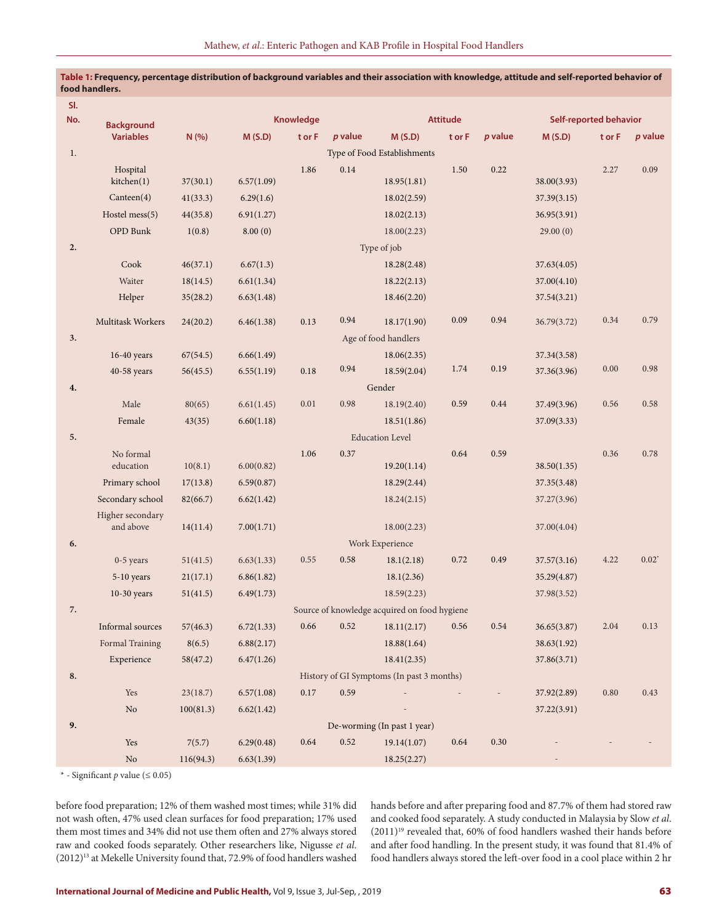| SI.<br>No. |                                       | Knowledge |            |        |           |                                              | <b>Attitude</b> |           |             | <b>Self-reported behavior</b> |                |  |
|------------|---------------------------------------|-----------|------------|--------|-----------|----------------------------------------------|-----------------|-----------|-------------|-------------------------------|----------------|--|
|            | <b>Background</b><br><b>Variables</b> | N (%)     | M(S.D)     | t or F | $p$ value | M(S.D)                                       | t or F          | $p$ value | M(S.D)      | t or F                        | <i>p</i> value |  |
| 1.         |                                       |           |            |        |           | Type of Food Establishments                  |                 |           |             |                               |                |  |
|            | Hospital                              |           |            | 1.86   | 0.14      |                                              | 1.50            | 0.22      |             | 2.27                          | 0.09           |  |
|            | kitchen(1)                            | 37(30.1)  | 6.57(1.09) |        |           | 18.95(1.81)                                  |                 |           | 38.00(3.93) |                               |                |  |
|            | Canteen(4)                            | 41(33.3)  | 6.29(1.6)  |        |           | 18.02(2.59)                                  |                 |           | 37.39(3.15) |                               |                |  |
|            | Hostel mess(5)                        | 44(35.8)  | 6.91(1.27) |        |           | 18.02(2.13)                                  |                 |           | 36.95(3.91) |                               |                |  |
|            | OPD Bunk                              | 1(0.8)    | 8.00(0)    |        |           | 18.00(2.23)                                  |                 |           | 29.00(0)    |                               |                |  |
| 2.         |                                       |           |            |        |           | Type of job                                  |                 |           |             |                               |                |  |
|            | Cook                                  | 46(37.1)  | 6.67(1.3)  |        |           | 18.28(2.48)                                  |                 |           | 37.63(4.05) |                               |                |  |
|            | Waiter                                | 18(14.5)  | 6.61(1.34) |        |           | 18.22(2.13)                                  |                 |           | 37.00(4.10) |                               |                |  |
|            | Helper                                | 35(28.2)  | 6.63(1.48) |        |           | 18.46(2.20)                                  |                 |           | 37.54(3.21) |                               |                |  |
|            | Multitask Workers                     | 24(20.2)  | 6.46(1.38) | 0.13   | 0.94      | 18.17(1.90)                                  | 0.09            | 0.94      | 36.79(3.72) | 0.34                          | 0.79           |  |
| 3.         |                                       |           |            |        |           | Age of food handlers                         |                 |           |             |                               |                |  |
|            | $16-40$ years                         | 67(54.5)  | 6.66(1.49) |        |           | 18.06(2.35)                                  |                 |           | 37.34(3.58) |                               |                |  |
|            | 40-58 years                           | 56(45.5)  | 6.55(1.19) | 0.18   | 0.94      | 18.59(2.04)                                  | 1.74            | 0.19      | 37.36(3.96) | $0.00\,$                      | 0.98           |  |
| 4.         |                                       |           |            |        |           | Gender                                       |                 |           |             |                               |                |  |
|            | Male                                  | 80(65)    | 6.61(1.45) | 0.01   | 0.98      | 18.19(2.40)                                  | 0.59            | 0.44      | 37.49(3.96) | 0.56                          | 0.58           |  |
|            | Female                                | 43(35)    | 6.60(1.18) |        |           | 18.51(1.86)                                  |                 |           | 37.09(3.33) |                               |                |  |
| 5.         |                                       |           |            |        |           | <b>Education Level</b>                       |                 |           |             |                               |                |  |
|            | No formal                             |           |            | 1.06   | 0.37      |                                              | 0.64            | 0.59      |             | 0.36                          | 0.78           |  |
|            | education                             | 10(8.1)   | 6.00(0.82) |        |           | 19.20(1.14)                                  |                 |           | 38.50(1.35) |                               |                |  |
|            | Primary school                        | 17(13.8)  | 6.59(0.87) |        |           | 18.29(2.44)                                  |                 |           | 37.35(3.48) |                               |                |  |
|            | Secondary school                      | 82(66.7)  | 6.62(1.42) |        |           | 18.24(2.15)                                  |                 |           | 37.27(3.96) |                               |                |  |
|            | Higher secondary<br>and above         | 14(11.4)  | 7.00(1.71) |        |           | 18.00(2.23)                                  |                 |           | 37.00(4.04) |                               |                |  |
| 6.         |                                       |           |            |        |           | Work Experience                              |                 |           |             |                               |                |  |
|            | $0-5$ years                           | 51(41.5)  | 6.63(1.33) | 0.55   | 0.58      | 18.1(2.18)                                   | 0.72            | 0.49      | 37.57(3.16) | 4.22                          | $0.02^*$       |  |
|            | 5-10 years                            | 21(17.1)  | 6.86(1.82) |        |           | 18.1(2.36)                                   |                 |           | 35.29(4.87) |                               |                |  |
|            | $10-30$ years                         | 51(41.5)  | 6.49(1.73) |        |           | 18.59(2.23)                                  |                 |           | 37.98(3.52) |                               |                |  |
| 7.         |                                       |           |            |        |           | Source of knowledge acquired on food hygiene |                 |           |             |                               |                |  |
|            | Informal sources                      | 57(46.3)  | 6.72(1.33) | 0.66   | $0.52\,$  | 18.11(2.17)                                  | 0.56            | $0.54\,$  | 36.65(3.87) | 2.04                          | 0.13           |  |
|            | Formal Training                       | 8(6.5)    | 6.88(2.17) |        |           | 18.88(1.64)                                  |                 |           | 38.63(1.92) |                               |                |  |
|            | Experience                            | 58(47.2)  | 6.47(1.26) |        |           | 18.41(2.35)                                  |                 |           | 37.86(3.71) |                               |                |  |
| 8.         |                                       |           |            |        |           | History of GI Symptoms (In past 3 months)    |                 |           |             |                               |                |  |
|            | Yes                                   | 23(18.7)  | 6.57(1.08) | 0.17   | 0.59      |                                              |                 |           | 37.92(2.89) | $0.80\,$                      | 0.43           |  |
|            | $\rm No$                              | 100(81.3) | 6.62(1.42) |        |           |                                              |                 |           | 37.22(3.91) |                               |                |  |
| 9.         |                                       |           |            |        |           | De-worming (In past 1 year)                  |                 |           |             |                               |                |  |
|            | Yes                                   | 7(5.7)    | 6.29(0.48) | 0.64   | 0.52      | 19.14(1.07)                                  | 0.64            | $0.30\,$  |             |                               |                |  |
|            | $\rm No$                              | 116(94.3) | 6.63(1.39) |        |           | 18.25(2.27)                                  |                 |           |             |                               |                |  |

**Table 1: Frequency, percentage distribution of background variables and their association with knowledge, attitude and self-reported behavior of food handlers.** 

\* - Significant *p* value (≤ 0.05)

before food preparation; 12% of them washed most times; while 31% did not wash often, 47% used clean surfaces for food preparation; 17% used them most times and 34% did not use them often and 27% always stored raw and cooked foods separately. Other researchers like, Nigusse *et al*. (2012)13 at Mekelle University found that, 72.9% of food handlers washed

hands before and after preparing food and 87.7% of them had stored raw and cooked food separately. A study conducted in Malaysia by Slow *et al*.  $(2011)^{19}$  revealed that, 60% of food handlers washed their hands before and after food handling. In the present study, it was found that 81.4% of food handlers always stored the left-over food in a cool place within 2 hr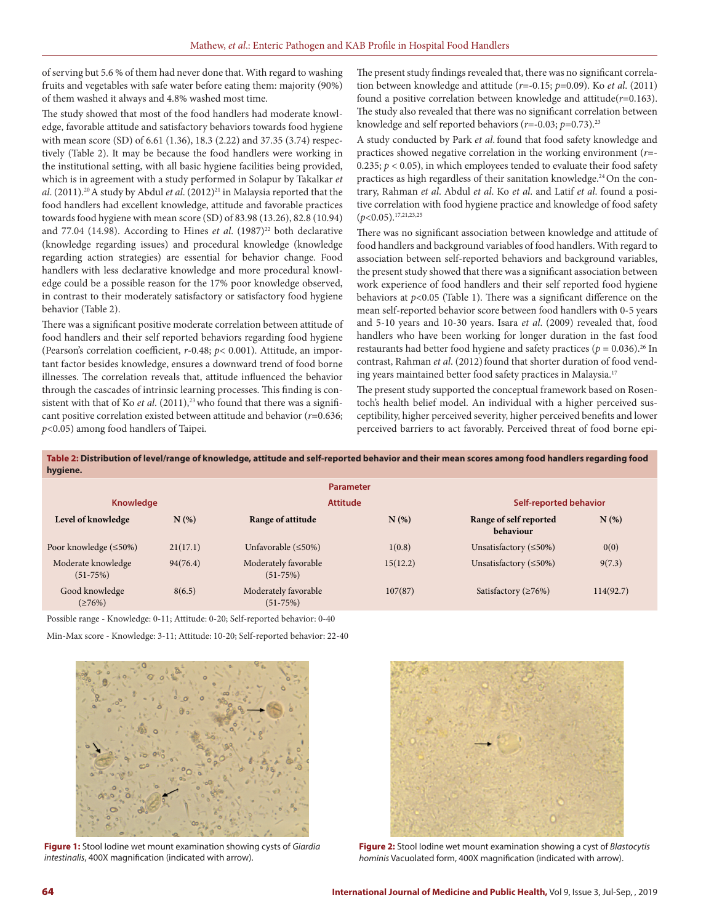of serving but 5.6 % of them had never done that. With regard to washing fruits and vegetables with safe water before eating them: majority (90%) of them washed it always and 4.8% washed most time.

The study showed that most of the food handlers had moderate knowledge, favorable attitude and satisfactory behaviors towards food hygiene with mean score (SD) of 6.61 (1.36), 18.3 (2.22) and 37.35 (3.74) respectively (Table 2). It may be because the food handlers were working in the institutional setting, with all basic hygiene facilities being provided, which is in agreement with a study performed in Solapur by Takalkar *et al*. (2011).<sup>20</sup> A study by Abdul *et al*. (2012)<sup>21</sup> in Malaysia reported that the food handlers had excellent knowledge, attitude and favorable practices towards food hygiene with mean score (SD) of 83.98 (13.26), 82.8 (10.94) and 77.04 (14.98). According to Hines *et al.* (1987)<sup>22</sup> both declarative (knowledge regarding issues) and procedural knowledge (knowledge regarding action strategies) are essential for behavior change. Food handlers with less declarative knowledge and more procedural knowledge could be a possible reason for the 17% poor knowledge observed, in contrast to their moderately satisfactory or satisfactory food hygiene behavior (Table 2).

There was a significant positive moderate correlation between attitude of food handlers and their self reported behaviors regarding food hygiene (Pearson's correlation coefficient, *r*-0.48; *p*< 0.001). Attitude, an important factor besides knowledge, ensures a downward trend of food borne illnesses. The correlation reveals that, attitude influenced the behavior through the cascades of intrinsic learning processes. This finding is consistent with that of Ko et al. (2011),<sup>23</sup> who found that there was a significant positive correlation existed between attitude and behavior (*r*=0.636; *p*<0.05) among food handlers of Taipei.

The present study findings revealed that, there was no significant correlation between knowledge and attitude (*r*=-0.15; *p*=0.09). Ko *et al*. (2011) found a positive correlation between knowledge and attitude(*r*=0.163). The study also revealed that there was no significant correlation between knowledge and self reported behaviors (*r*=-0.03; *p*=0.73).23

A study conducted by Park *et al*. found that food safety knowledge and practices showed negative correlation in the working environment (*r*=- 0.235;  $p < 0.05$ ), in which employees tended to evaluate their food safety practices as high regardless of their sanitation knowledge.<sup>24</sup> On the contrary, Rahman *et al*. Abdul *et al*. Ko *et al*. and Latif *et al*. found a positive correlation with food hygiene practice and knowledge of food safety (*p*<0.05).17,21,23,25

There was no significant association between knowledge and attitude of food handlers and background variables of food handlers. With regard to association between self-reported behaviors and background variables, the present study showed that there was a significant association between work experience of food handlers and their self reported food hygiene behaviors at  $p<0.05$  (Table 1). There was a significant difference on the mean self-reported behavior score between food handlers with 0-5 years and 5-10 years and 10-30 years. Isara *et al*. (2009) revealed that, food handlers who have been working for longer duration in the fast food restaurants had better food hygiene and safety practices ( $p = 0.036$ ).<sup>26</sup> In contrast, Rahman et al. (2012) found that shorter duration of food vending years maintained better food safety practices in Malaysia.<sup>17</sup>

The present study supported the conceptual framework based on Rosentoch's health belief model. An individual with a higher perceived susceptibility, higher perceived severity, higher perceived benefits and lower perceived barriers to act favorably. Perceived threat of food borne epi-

**Table 2: Distribution of level/range of knowledge, attitude and self-reported behavior and their mean scores among food handlers regarding food hygiene.** 

|                                  |          | <b>Parameter</b>                   |                 |                                     |                        |  |  |
|----------------------------------|----------|------------------------------------|-----------------|-------------------------------------|------------------------|--|--|
| <b>Knowledge</b>                 |          |                                    | <b>Attitude</b> |                                     | Self-reported behavior |  |  |
| Level of knowledge               | N(%)     | Range of attitude                  | $N(\%)$         | Range of self reported<br>behaviour | $N(\%)$                |  |  |
| Poor knowledge $(\leq 50\%)$     | 21(17.1) | Unfavorable $(\leq 50\%)$          | 1(0.8)          | Unsatisfactory $(\leq 50\%)$        | 0(0)                   |  |  |
| Moderate knowledge<br>$(51-75%)$ | 94(76.4) | Moderately favorable<br>$(51-75%)$ | 15(12.2)        | Unsatisfactory $(\leq 50\%)$        | 9(7.3)                 |  |  |
| Good knowledge<br>(276%)         | 8(6.5)   | Moderately favorable<br>$(51-75%)$ | 107(87)         | Satisfactory ( $\geq 76\%$ )        | 114(92.7)              |  |  |

Possible range - Knowledge: 0-11; Attitude: 0-20; Self-reported behavior: 0-40

Min-Max score - Knowledge: 3-11; Attitude: 10-20; Self-reported behavior: 22-40



**Figure 1:** Stool Iodine wet mount examination showing cysts of *Giardia intestinalis*, 400X magnification (indicated with arrow).



**Figure 2:** Stool Iodine wet mount examination showing a cyst of *Blastocytis hominis* Vacuolated form, 400X magnification (indicated with arrow).